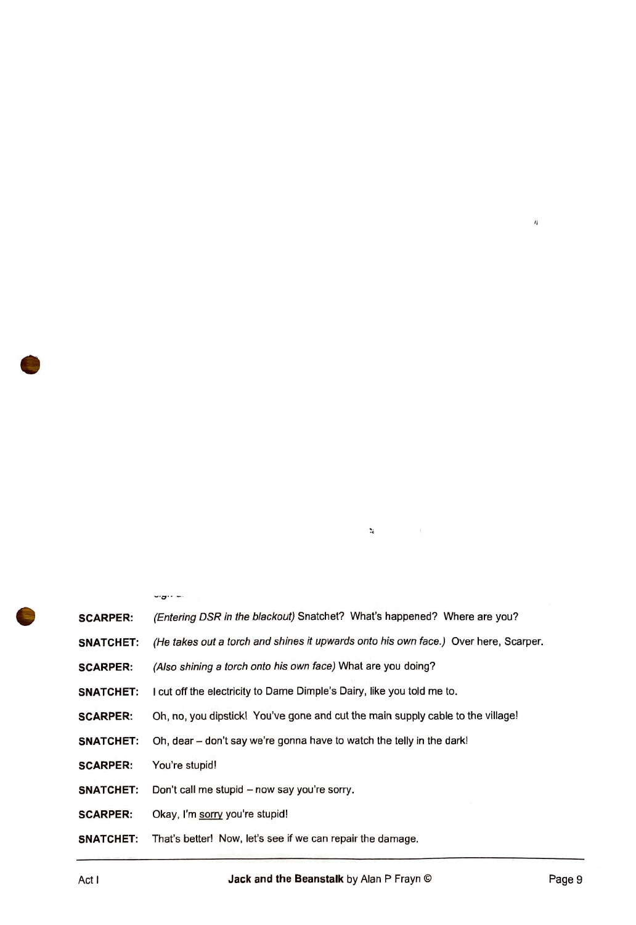| <b>SCARPER:</b>  | (Entering DSR in the blackout) Snatchet? What's happened? Where are you?            |
|------------------|-------------------------------------------------------------------------------------|
| <b>SNATCHET:</b> | (He takes out a torch and shines it upwards onto his own face.) Over here, Scarper. |
| <b>SCARPER:</b>  | (Also shining a torch onto his own face) What are you doing?                        |
| <b>SNATCHET:</b> | I cut off the electricity to Dame Dimple's Dairy, like you told me to.              |
| <b>SCARPER:</b>  | Oh, no, you dipstick! You've gone and cut the main supply cable to the village!     |
| <b>SNATCHET:</b> | Oh, dear - don't say we're gonna have to watch the telly in the dark!               |
| <b>SCARPER:</b>  | You're stupid!                                                                      |
| <b>SNATCHET:</b> | Don't call me stupid - now say you're sorry.                                        |
| <b>SCARPER:</b>  | Okay, I'm sorry you're stupid!                                                      |
| <b>SNATCHET:</b> | That's better! Now, let's see if we can repair the damage.                          |

 $\ddot{\textbf{z}}$ 

 $\dot{\eta}$